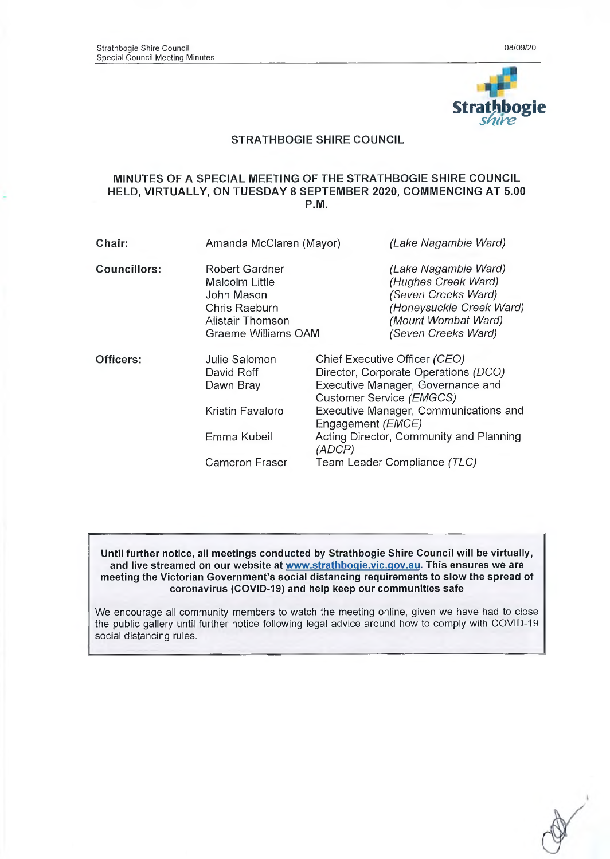

### **STRATHBOGIE SHIRE COUNCIL**

#### **MINUTES OF A SPECIAL MEETING OF THE STRATHBOGIE SHIRE COUNCIL HELD, VIRTUALLY, ON TUESDAY 8 SEPTEMBER 2020, COMMENCING AT 5.00 P.M.**

| Chair:              | Amanda McClaren (Mayor)                                                                                           |                            | (Lake Nagambie Ward)                                                                                                                                                                                                       |  |
|---------------------|-------------------------------------------------------------------------------------------------------------------|----------------------------|----------------------------------------------------------------------------------------------------------------------------------------------------------------------------------------------------------------------------|--|
| <b>Councillors:</b> | Robert Gardner<br>Malcolm Little<br>John Mason<br>Chris Raeburn<br><b>Alistair Thomson</b><br>Graeme Williams OAM |                            | (Lake Nagambie Ward)<br>(Hughes Creek Ward)<br>(Seven Creeks Ward)<br>(Honeysuckle Creek Ward)<br>(Mount Wombat Ward)<br>(Seven Creeks Ward)                                                                               |  |
| Officers:           | Julie Salomon<br>David Roff<br>Dawn Bray<br>Kristin Favaloro<br>Emma Kubeil                                       | Engagement ( <i>EMCE</i> ) | Chief Executive Officer (CEO)<br>Director, Corporate Operations (DCO)<br>Executive Manager, Governance and<br>Customer Service (EMGCS)<br>Executive Manager, Communications and<br>Acting Director, Community and Planning |  |
|                     | <b>Cameron Fraser</b>                                                                                             | (ADCP)                     | Team Leader Compliance (TLC)                                                                                                                                                                                               |  |

**Until further notice, all meetings conducted by Strathbogie Shire Council will be virtually, and live streamed on our website at [www.strathboqie.vic.qov.au.](http://www.strathboqie.vic.qov.au) This ensures we are meeting the Victorian Government's social distancing requirements to slow the spread of coronavirus (COVID-19) and help keep our communities safe**

**We encourage all community members to watch the meeting online, given we have had to close the public gallery until further notice following legal advice around how to comply with COVID-19 social distancing rules.**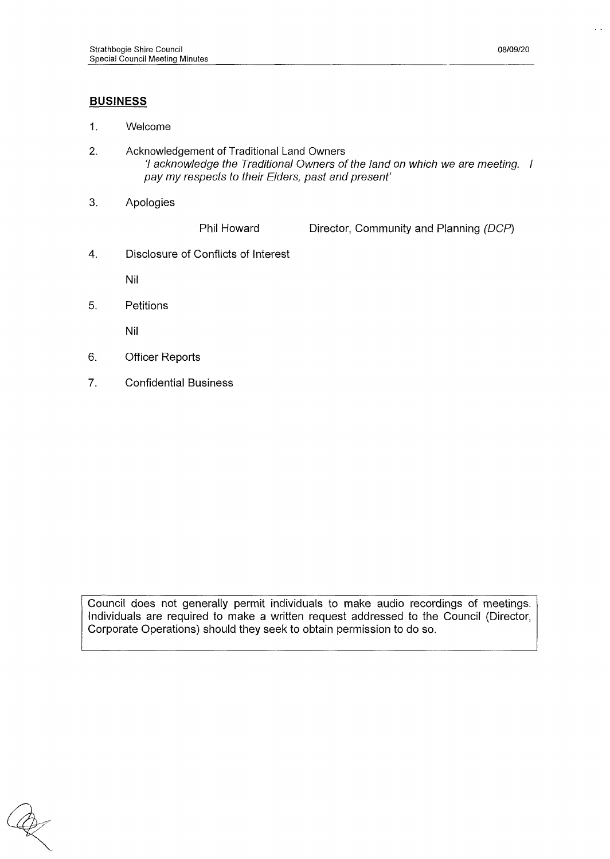### **BUSINESS**

- **1. Welcome**
- **2. Acknowledgement of Traditional Land Owners** *'I acknowledge the Traditional Owners of the land on which we are meeting. I pay my respects to their Elders, past and present'*
- **3. Apologies**

**Phil Howard Director, Community and Planning** *(DCP)*

*4.* **Disclosure of Conflicts of Interest**

**Nil**

**5. Petitions**

**Nil**

- **6. Officer Reports**
- **7. Confidential Business**

**Council does not generally permit individuals to make audio recordings of meetings. Individuals are required to make a written request addressed to the Council (Director, Corporate Operations) should they seek to obtain permission to do so.**

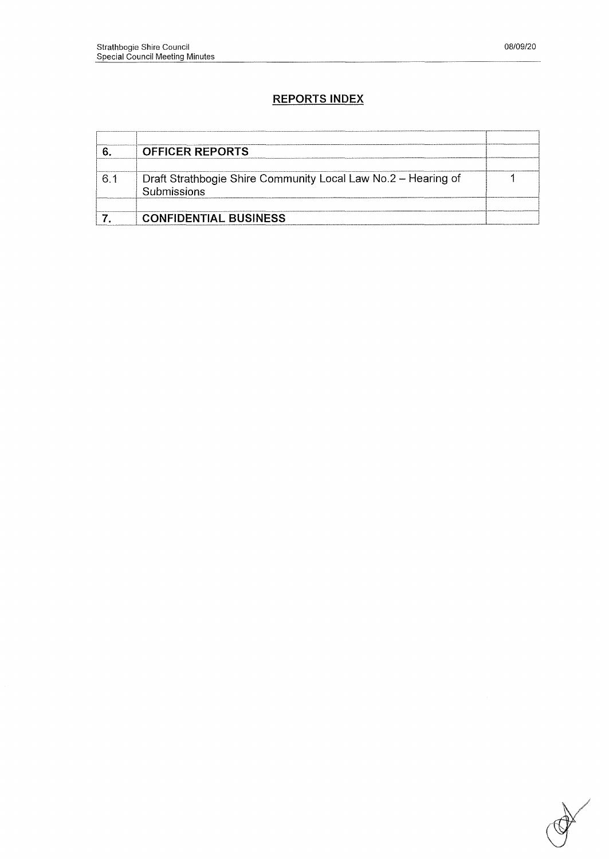# **REPORTS INDEX**

|    | <b>OFFICER REPORTS</b>                                        |  |
|----|---------------------------------------------------------------|--|
|    |                                                               |  |
| -6 | Draft Strathbogie Shire Community Local Law No.2 - Hearing of |  |
|    | Submissions                                                   |  |
|    |                                                               |  |
|    | <b>CONFIDENTIAL BUSINESS</b>                                  |  |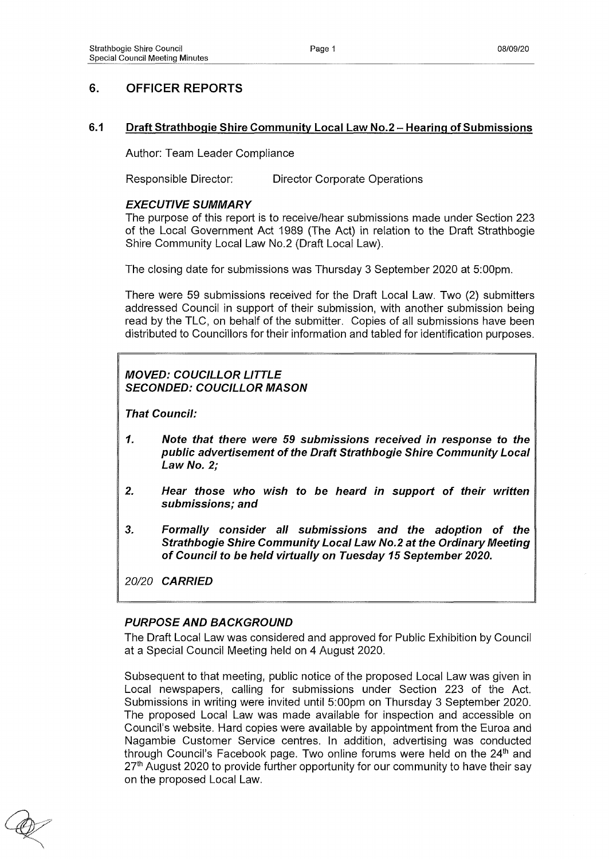# **6. OFFICER REPORTS**

### **6.1 Draft Strathbogie Shire Community Local Law No.2 - Hearing of Submissions**

**Author: Team Leader Compliance**

**Responsible Director: Director Corporate Operations**

### *EXECUTIVE SUMMARY*

**The purpose of this report is to receive/hear submissions made under Section 223 of the Local Government Act 1989 (The Act) in relation to the Draft Strathbogie Shire Community Local Law No.2 (Draft Local Law).**

**The closing date for submissions was Thursday 3 September 2020 at 5:00pm.**

**There were 59 submissions received for the Draft Local Law. Two (2) submitters addressed Council in support of their submission, with another submission being read by the TLC, on behalf of the submitter. Copies of all submissions have been distributed to Councillors for their information and tabled for identification purposes.**

# *MOVED: COUCILLOR LITTLE SECONDED: COUCILLOR MASON*

*That Council:*

- *1. Note that there were 59 submissions received in response to the public advertisement of the Draft Strathbogie Shire Community Local Law No. 2;*
- *2. Hear those who wish to be heard in support of their written submissions; and*
- *3. Formally consider all submissions and the adoption of the Strathbogie Shire Community Local Law No.2 at the Ordinary Meeting of Council to be held virtually on Tuesday 15 September 2020.*

*20/20 CARRIED*

### *PURPOSE AND BACKGROUND*

**The Draft Local Law was considered and approved for Public Exhibition by Council at a Special Council Meeting held on 4 August 2020.**

**Subsequent to that meeting, public notice of the proposed Local Law was given in Local newspapers, calling for submissions under Section 223 of the Act. Submissions in writing were invited until 5:00pm on Thursday 3 September 2020. The proposed Local Law was made available for inspection and accessible on Council's website. Hard copies were available by appointment from the Euroa and Nagambie Customer Service centres. In addition, advertising was conducted through Council's Facebook page. Two online forums were held on the 24th and 27th August 2020 to provide further opportunity for our community to have their say on the proposed Local Law.**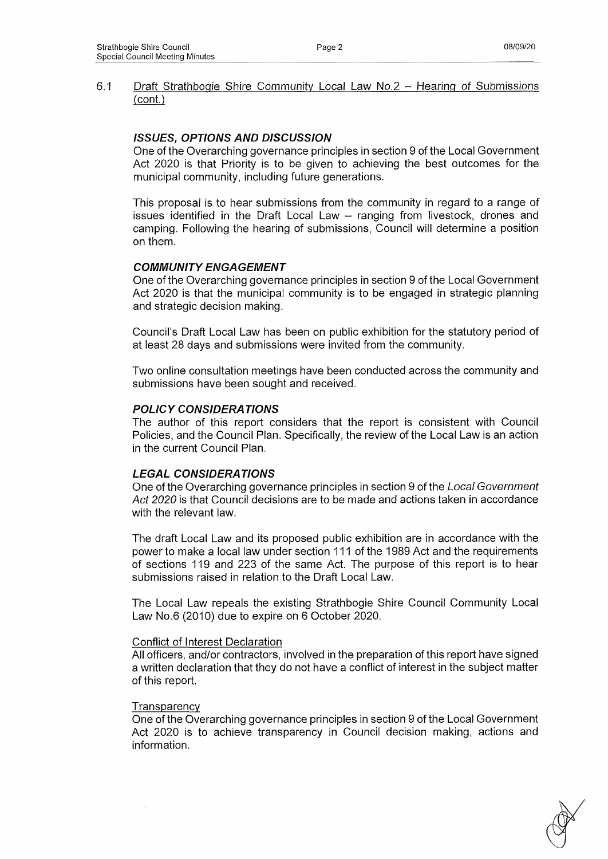#### **61 Draft Strathbogie Shire Community Loca! Law No.2 - Hearing of Submissions (cont.)**

### *ISSUES, OPTIONS AND DISCUSSION*

**One of the Overarching governance principles in section 9 of the Local Government Act 2020 is that Priority is to be given to achieving the best outcomes for the municipal community, including future generations.**

**This proposal is to hear submissions from the community in regard to a range of issues identified in the Draft Local Law - ranging from livestock, drones and camping. Following the hearing of submissions, Council will determine a position on them.**

## *COMMUNITY ENGAGEMENT*

**One of the Overarching governance principles in section 9 of the Local Government Act 2020 is that the municipal community is to be engaged in strategic planning and strategic decision making.**

**Council's Draft Local Law has been on public exhibition for the statutory period of at least 28 days and submissions were invited from the community.**

**Two online consultation meetings have been conducted across the community and submissions have been sought and received.**

### *POLICY CONSIDERATIONS*

**The author of this report considers that the report is consistent with Council Policies, and the Council Plan. Specifically, the review of the Local Law is an action in the current Council Plan.**

### *LEGAL CONSIDERATIONS*

**One of the Overarching governance principles in section 9 of the** *Local Government Act 2020* **is that Council decisions are to be made and actions taken in accordance with the relevant law.**

**The draft Local Law and its proposed public exhibition are in accordance with the power to make a local law under section 111 of the 1989 Act and the requirements of sections 119 and 223 of the same Act. The purpose of this report is to hear submissions raised in relation to the Draft Local Law.**

**The Local Law repeals the existing Strathbogie Shire Council Community Local Law No.6 (2010) due to expire on 6 October 2020.**

### **Conflict of Interest Declaration**

**All officers, and/or contractors, involved in the preparation of this report have signed a written declaration that they do not have a conflict of interest in the subject matter of this report.**

#### **Transparency**

**One of the Overarching governance principles in section 9 of the Local Government Act 2020 is to achieve transparency in Council decision making, actions and information.**

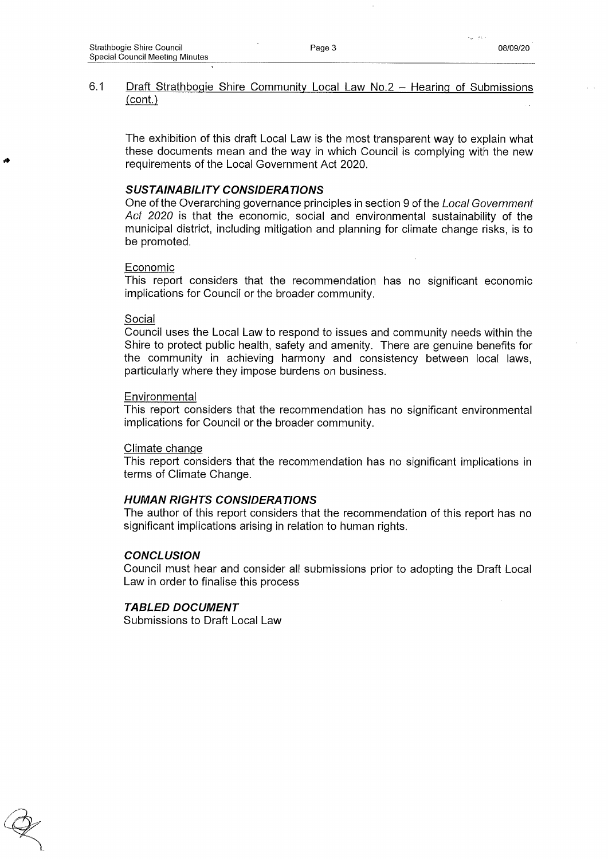#### **6.1 Draft Strathbogie Shire Community Local Law No.2 - Hearing of Submissions (cont.)**

**The exhibition of this draft Local Law is the most transparent way to explain what these documents mean and the way in which Council is complying with the new requirements of the Local Government Act 2020.**

#### *SUSTAINABILITY CONSIDERATIONS*

**One of the Overarching governance principles in section 9 of the** *Local Government Act 2020* **is that the economic, social and environmental sustainability of the municipal district, including mitigation and planning for climate change risks, is to be promoted.**

#### **Economic**

**This report considers that the recommendation has no significant economic implications for Council or the broader community.**

#### **Social**

**Council uses the Local Law to respond to issues and community needs within the Shire to protect public health, safety and amenity. There are genuine benefits for the community in achieving harmony and consistency between local laws, particularly where they impose burdens on business.**

#### **Environmental**

**This report considers that the recommendation has no significant environmental implications for Council or the broader community.**

#### **Climate change**

**This report considers that the recommendation has no significant implications in terms of Climate Change.**

#### *HUMAN RIGHTS CONSIDERATIONS*

**The author of this report considers that the recommendation of this report has no significant implications arising in relation to human rights.**

#### *CONCLUSION*

**Council must hear and consider all submissions prior to adopting the Draft Local Law in order to finalise this process**

#### *TABLED DOCUMENT*

**Submissions to Draft Local Law**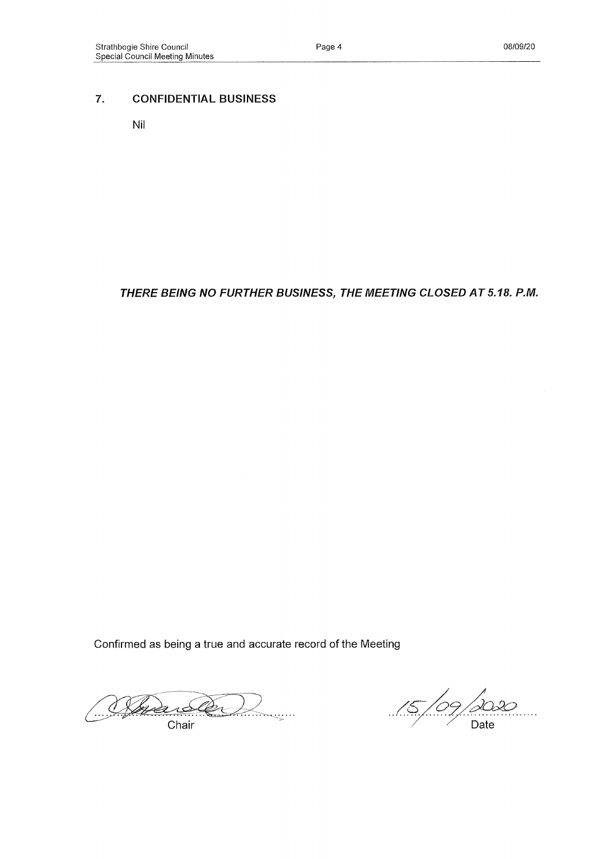## **7. CONFIDENTIAL BUSINESS**

**Nil**

### *THERE BEING NO FURTHER BUSINESS, THE MEETING CLOSED A T 5.18. P.M.*

**Confirmed as being a true and accurate record of the Meeting**

(Steve <u>Samain</u> Chair

 $\frac{15}{9}$  $Date$